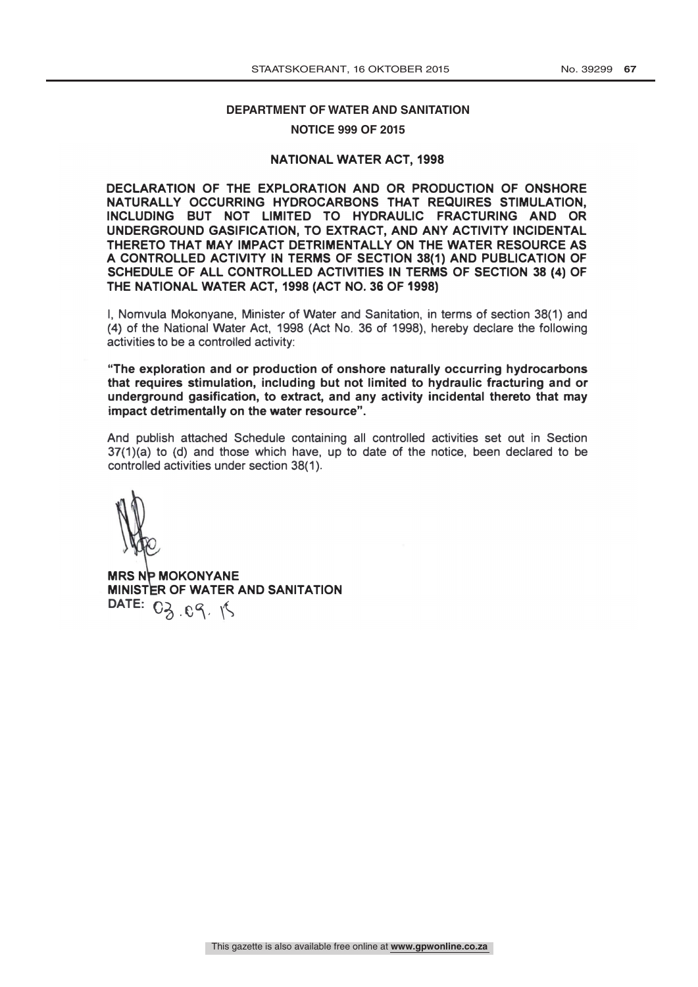## DEPARTMENT OF WATER AND SANITATION

## **NOTICE 999 OF 2015**

## NATIONAL WATER ACT, 1998

DECLARATION OF THE EXPLORATION AND OR PRODUCTION OF ONSHORE NATURALLY OCCURRING HYDROCARBONS THAT REQUIRES STIMULATION, INCLUDING BUT NOT LIMITED TO HYDRAULIC FRACTURING AND OR UNDERGROUND GASIFICATION, TO EXTRACT, AND ANY ACTIVITY INCIDENTAL THERETO THAT MAY IMPACT DETRIMENTALLY ON THE WATER RESOURCE AS A CONTROLLED ACTIVITY IN TERMS OF SECTION 38(1) AND PUBLICATION OF SCHEDULE OF ALL CONTROLLED ACTIVITIES IN TERMS OF SECTION 38 (4) OF THE NATIONAL WATER ACT, 1998 (ACT NO. 36 OF 1998)

I, Nomvula Mokonyane, Minister of Water and Sanitation, in terms of section 38(1) and (4) of the National Water Act, 1998 (Act No. 36 of 1998), hereby declare the following activities to be a controlled activity:

"The exploration and or production of onshore naturally occurring hydrocarbons that requires stimulation, including but not limited to hydraulic fracturing and or underground gasification, to extract, and any activity incidental thereto that may impact detrimentally on the water resource".

And publish attached Schedule containing all controlled activities set out in Section 37(1)(a) to (d) and those which have, up to date of the notice, been declared to be controlled activities under section 38(1 ).

**MRS NP MOKONYANE** MINISTER OF WATER AND SANITATION DATE:  $O_{\lambda}$  .  $O_{\lambda}$  .  $\lambda$